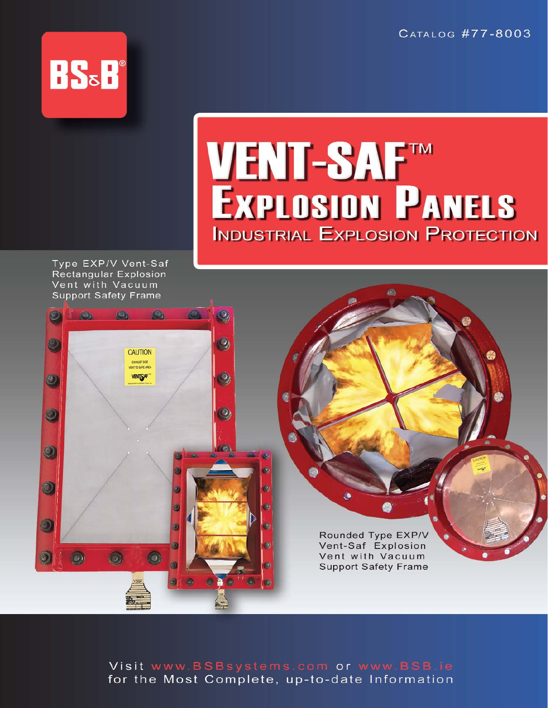CATALOG #77-8003



# **VENT-SAFTM EXPLOSION PANELS INDUSTRIAL EXPLOSION PROTECTION**

Type EXP/V Vent-Saf **Rectangular Explosion** Vent with Vacuum **Support Safety Frame** 



Rounded Type EXP/V Vent-Saf Explosion Vent with Vacuum **Support Safety Frame** 

Â

Visit www.BSBsystems.com or www.BSB.ie for the Most Complete, up-to-date Information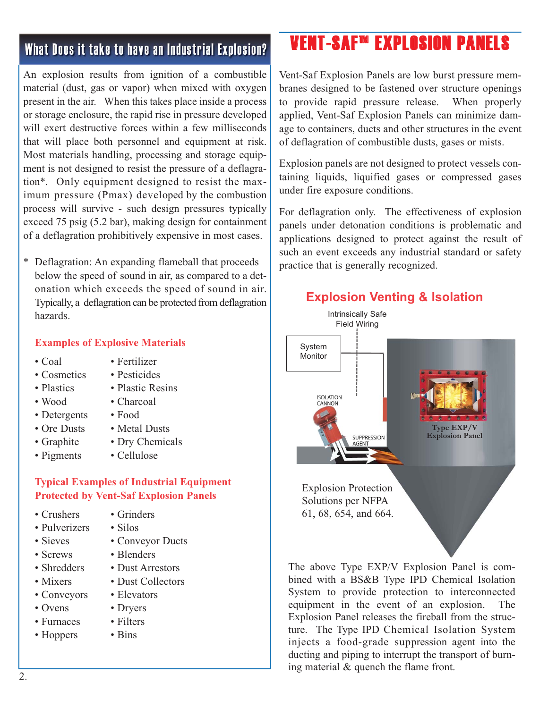## What Does it take to have an Industrial Explosion?

An explosion results from ignition of a combustible material (dust, gas or vapor) when mixed with oxygen present in the air. When this takes place inside a process or storage enclosure, the rapid rise in pressure developed will exert destructive forces within a few milliseconds that will place both personnel and equipment at risk. Most materials handling, processing and storage equipment is not designed to resist the pressure of a deflagration\*. Only equipment designed to resist the maximum pressure (Pmax) developed by the combustion process will survive - such design pressures typically exceed 75 psig (5.2 bar), making design for containment of a deflagration prohibitively expensive in most cases.

\* Deflagration: An expanding flameball that proceeds below the speed of sound in air, as compared to a detonation which exceeds the speed of sound in air. Typically, a deflagration can be protected from deflagration hazards.

#### **Examples of Explosive Materials**

- 
- 
- 
- 
- 
- Detergents Food
- 
- 
- 
- Coal Fertilizer
- Cosmetics Pesticides
- Plastics Plastic Resins
- Wood Charcoal
	-
- Ore Dusts Metal Dusts
- Graphite Dry Chemicals
- Pigments Cellulose

#### **Typical Examples of Industrial Equipment Protected by Vent-Saf Explosion Panels**

- Crushers Grinders
- Pulverizers Silos
- 
- 
- 
- 
- Conveyors Elevators
- 
- Furnaces Filters
- Hoppers Bins
- 
- 
- Sieves Conveyor Ducts
- Screws Blenders
- Shredders Dust Arrestors
- Mixers Dust Collectors
	-
- Ovens Dryers
	-
	-

# VENT-SAF™ EXPLOSION PANELS

Vent-Saf Explosion Panels are low burst pressure membranes designed to be fastened over structure openings to provide rapid pressure release. When properly applied, Vent-Saf Explosion Panels can minimize damage to containers, ducts and other structures in the event of deflagration of combustible dusts, gases or mists.

Explosion panels are not designed to protect vessels containing liquids, liquified gases or compressed gases under fire exposure conditions.

For deflagration only. The effectiveness of explosion panels under detonation conditions is problematic and applications designed to protect against the result of such an event exceeds any industrial standard or safety practice that is generally recognized.



System to provide protection to interconnected equipment in the event of an explosion. The Explosion Panel releases the fireball from the structure. The Type IPD Chemical Isolation System injects a food-grade suppression agent into the ducting and piping to interrupt the transport of burning material & quench the flame front.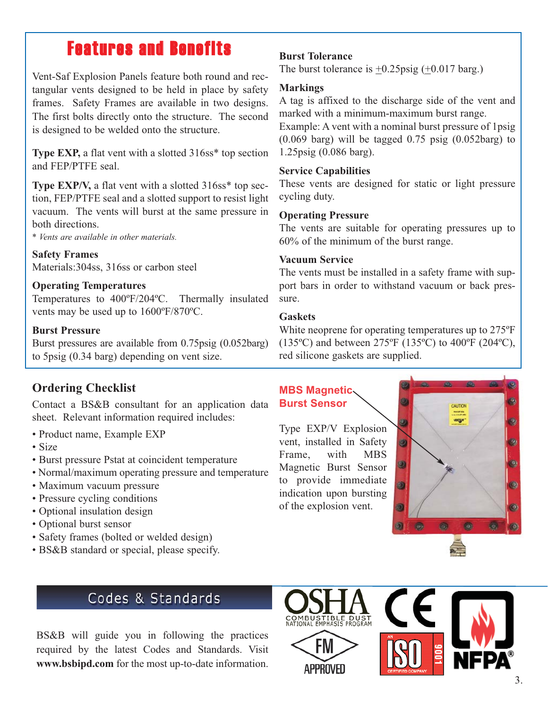# Features and Benefits

Vent-Saf Explosion Panels feature both round and rectangular vents designed to be held in place by safety frames. Safety Frames are available in two designs. The first bolts directly onto the structure. The second is designed to be welded onto the structure.

**Type EXP,** a flat vent with a slotted 316ss<sup>\*</sup> top section and FEP/PTFE seal.

**Type EXP/V,** a flat vent with a slotted 316ss<sup>\*</sup> top section, FEP/PTFE seal and a slotted support to resist light vacuum. The vents will burst at the same pressure in both directions.

*\* Vents are available in other materials.*

**Safety Frames** Materials:304ss, 316ss or carbon steel

#### **Operating Temperatures**

Temperatures to 400ºF/204ºC. Thermally insulated vents may be used up to 1600ºF/870ºC.

#### **Burst Pressure**

Burst pressures are available from 0.75psig (0.052barg) to 5psig (0.34 barg) depending on vent size.

### **Ordering Checklist**

Contact a BS&B consultant for an application data sheet. Relevant information required includes:

- Product name, Example EXP
- Size
- Burst pressure Pstat at coincident temperature
- Normal/maximum operating pressure and temperature
- Maximum vacuum pressure
- Pressure cycling conditions
- Optional insulation design
- Optional burst sensor
- Safety frames (bolted or welded design)
- BS&B standard or special, please specify.

#### **Burst Tolerance**

The burst tolerance is  $\pm 0.25$ psig ( $\pm 0.017$  barg.)

#### **Markings**

A tag is affixed to the discharge side of the vent and marked with a minimum-maximum burst range.

Example: A vent with a nominal burst pressure of 1psig  $(0.069$  barg) will be tagged  $0.75$  psig  $(0.052 \text{barg})$  to 1.25psig (0.086 barg).

#### **Service Capabilities**

These vents are designed for static or light pressure cycling duty.

#### **Operating Pressure**

The vents are suitable for operating pressures up to 60% of the minimum of the burst range.

#### **Vacuum Service**

The vents must be installed in a safety frame with support bars in order to withstand vacuum or back pressure.

#### **Gaskets**

White neoprene for operating temperatures up to 275ºF (135ºC) and between 275ºF (135ºC) to 400ºF (204ºC), red silicone gaskets are supplied.

#### **MBS Magnetic Burst Sensor**

Type EXP/V Explosion vent, installed in Safety Frame, with MBS Magnetic Burst Sensor to provide immediate indication upon bursting of the explosion vent.



## Codes & Standards

BS&B will guide you in following the practices required by the latest Codes and Standards. Visit **www.bsbipd.com** for the most up-to-date information.